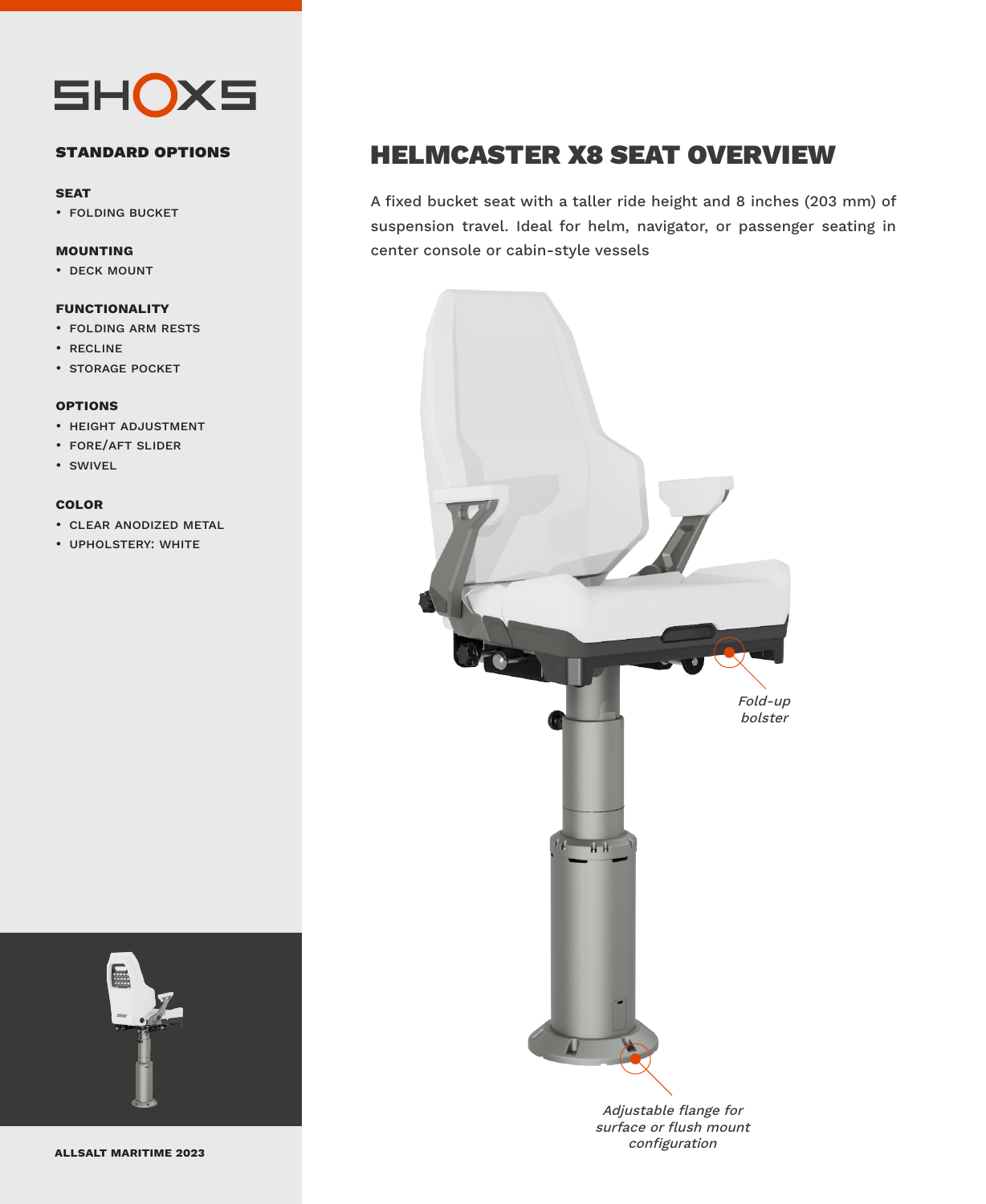

#### **standard options**

#### **seat**

• folding bucket

#### **mounting**

• deck mount

#### **functionality**

- folding arm rests
- recline
- storage pocket

#### **options**

- height adjustment
- fore/aft slider
- swivel

#### **color**

- clear anodized metal
- upholstery: white



### HELMCASTER X8 SEAT OVERVIEW

A fixed bucket seat with a taller ride height and 8 inches (203 mm) of suspension travel. Ideal for helm, navigator, or passenger seating in center console or cabin-style vessels



Adjustable flange for surface or flush mount configuration **allsalt maritime 2023**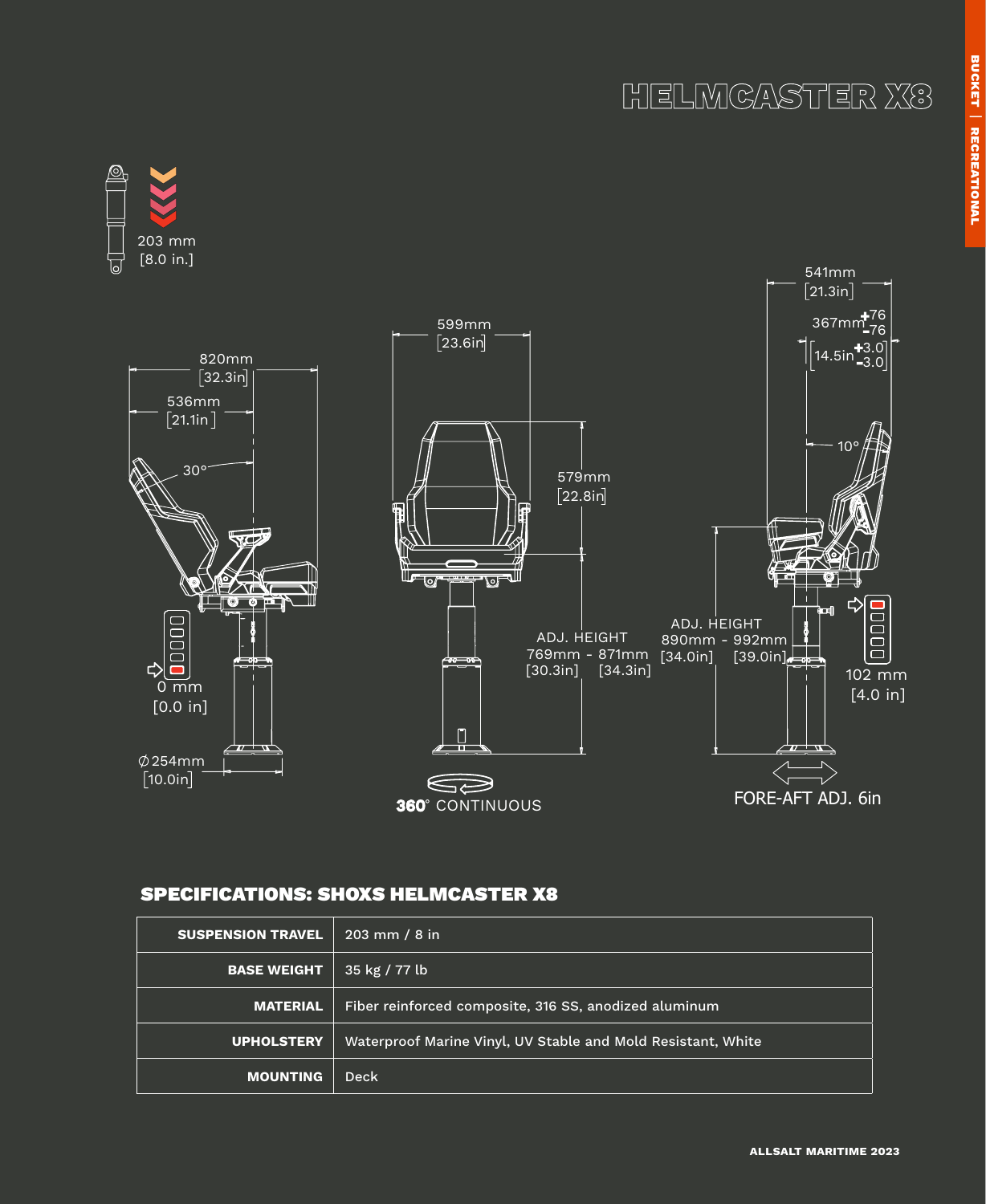



### SPECIFICATIONS: SHOXS HELMCASTER X8

| <b>SUSPENSION TRAVEL</b> | $203$ mm / 8 in                                              |
|--------------------------|--------------------------------------------------------------|
| <b>BASE WEIGHT</b>       | 35 kg / 77 lb                                                |
| <b>MATERIAL</b>          | Fiber reinforced composite, 316 SS, anodized aluminum        |
| <b>UPHOLSTERY</b>        | Waterproof Marine Vinyl, UV Stable and Mold Resistant, White |
| <b>MOUNTING</b>          | Deck                                                         |